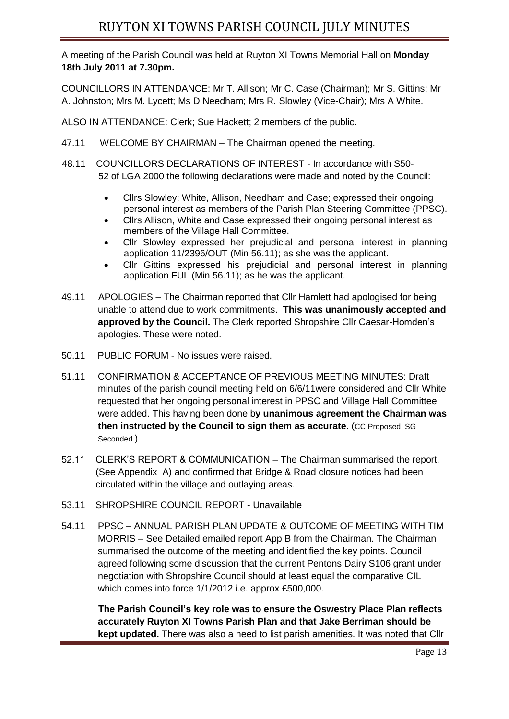A meeting of the Parish Council was held at Ruyton XI Towns Memorial Hall on **Monday 18th July 2011 at 7.30pm.** 

COUNCILLORS IN ATTENDANCE: Mr T. Allison; Mr C. Case (Chairman); Mr S. Gittins; Mr A. Johnston; Mrs M. Lycett; Ms D Needham; Mrs R. Slowley (Vice-Chair); Mrs A White.

ALSO IN ATTENDANCE: Clerk; Sue Hackett; 2 members of the public.

- 47.11 WELCOME BY CHAIRMAN The Chairman opened the meeting.
- 48.11 COUNCILLORS DECLARATIONS OF INTEREST In accordance with S50- 52 of LGA 2000 the following declarations were made and noted by the Council:
	- Cllrs Slowley; White, Allison, Needham and Case; expressed their ongoing personal interest as members of the Parish Plan Steering Committee (PPSC).
	- Cllrs Allison, White and Case expressed their ongoing personal interest as members of the Village Hall Committee.
	- Cllr Slowley expressed her prejudicial and personal interest in planning application 11/2396/OUT (Min 56.11); as she was the applicant.
	- Cllr Gittins expressed his prejudicial and personal interest in planning application FUL (Min 56.11); as he was the applicant.
- 49.11 APOLOGIES The Chairman reported that Cllr Hamlett had apologised for being unable to attend due to work commitments. **This was unanimously accepted and approved by the Council.** The Clerk reported Shropshire Cllr Caesar-Homden's apologies. These were noted.
- 50.11 PUBLIC FORUM No issues were raised.
- 51.11 CONFIRMATION & ACCEPTANCE OF PREVIOUS MEETING MINUTES: Draft minutes of the parish council meeting held on 6/6/11were considered and Cllr White requested that her ongoing personal interest in PPSC and Village Hall Committee were added. This having been done b**y unanimous agreement the Chairman was then instructed by the Council to sign them as accurate**. (CC Proposed SG Seconded.)
- 52.11 CLERK'S REPORT & COMMUNICATION The Chairman summarised the report. (See Appendix A) and confirmed that Bridge & Road closure notices had been circulated within the village and outlaying areas.
- 53.11 SHROPSHIRE COUNCIL REPORT Unavailable
- 54.11 PPSC ANNUAL PARISH PLAN UPDATE & OUTCOME OF MEETING WITH TIM MORRIS – See Detailed emailed report App B from the Chairman. The Chairman summarised the outcome of the meeting and identified the key points. Council agreed following some discussion that the current Pentons Dairy S106 grant under negotiation with Shropshire Council should at least equal the comparative CIL which comes into force 1/1/2012 i.e. approx £500,000.

 **The Parish Council's key role was to ensure the Oswestry Place Plan reflects accurately Ruyton XI Towns Parish Plan and that Jake Berriman should be kept updated.** There was also a need to list parish amenities. It was noted that Cllr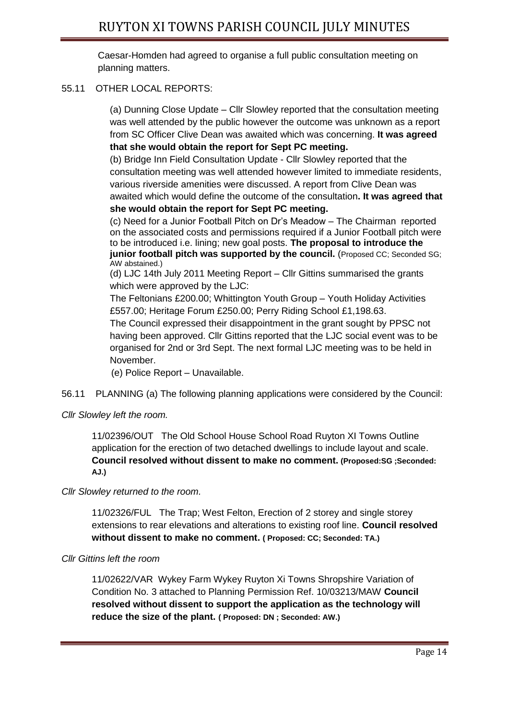Caesar-Homden had agreed to organise a full public consultation meeting on planning matters.

## 55.11 OTHER LOCAL REPORTS:

(a) Dunning Close Update – Cllr Slowley reported that the consultation meeting was well attended by the public however the outcome was unknown as a report from SC Officer Clive Dean was awaited which was concerning. **It was agreed that she would obtain the report for Sept PC meeting.** 

(b) Bridge Inn Field Consultation Update - Cllr Slowley reported that the consultation meeting was well attended however limited to immediate residents, various riverside amenities were discussed. A report from Clive Dean was awaited which would define the outcome of the consultation**. It was agreed that she would obtain the report for Sept PC meeting.** 

(c) Need for a Junior Football Pitch on Dr's Meadow – The Chairman reported on the associated costs and permissions required if a Junior Football pitch were to be introduced i.e. lining; new goal posts. **The proposal to introduce the junior football pitch was supported by the council.** (Proposed CC; Seconded SG; AW abstained.)

(d) LJC 14th July 2011 Meeting Report – Cllr Gittins summarised the grants which were approved by the LJC:

The Feltonians £200.00; Whittington Youth Group – Youth Holiday Activities £557.00; Heritage Forum £250.00; Perry Riding School £1,198.63.

The Council expressed their disappointment in the grant sought by PPSC not having been approved. Cllr Gittins reported that the LJC social event was to be organised for 2nd or 3rd Sept. The next formal LJC meeting was to be held in November.

(e) Police Report – Unavailable.

56.11 PLANNING (a) The following planning applications were considered by the Council:

## *Cllr Slowley left the room.*

11/02396/OUT The Old School House School Road Ruyton XI Towns Outline application for the erection of two detached dwellings to include layout and scale. **Council resolved without dissent to make no comment. (Proposed:SG ;Seconded: AJ.)**

*Cllr Slowley returned to the room.*

11/02326/FUL The Trap; West Felton, Erection of 2 storey and single storey extensions to rear elevations and alterations to existing roof line. **Council resolved without dissent to make no comment. ( Proposed: CC; Seconded: TA.)**

## *Cllr Gittins left the room*

11/02622/VAR Wykey Farm Wykey Ruyton Xi Towns Shropshire Variation of Condition No. 3 attached to Planning Permission Ref. 10/03213/MAW **Council resolved without dissent to support the application as the technology will reduce the size of the plant. ( Proposed: DN ; Seconded: AW.)**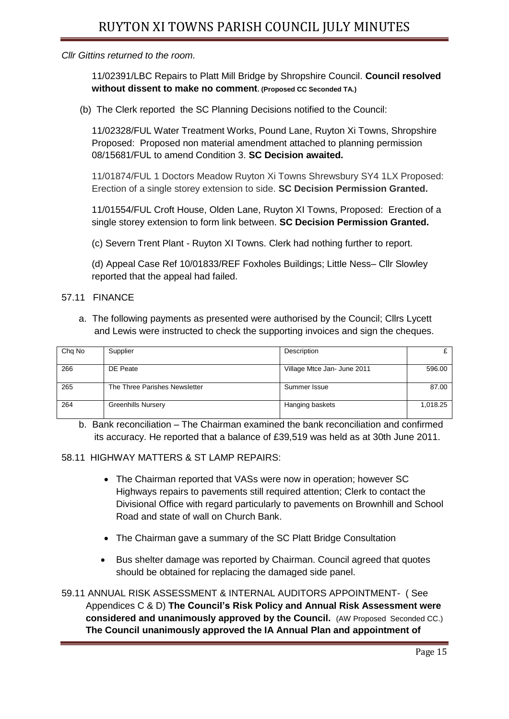*Cllr Gittins returned to the room.*

11/02391/LBC Repairs to Platt Mill Bridge by Shropshire Council. **Council resolved without dissent to make no comment. (Proposed CC Seconded TA.)**

(b) The Clerk reported the SC Planning Decisions notified to the Council:

11/02328/FUL Water Treatment Works, Pound Lane, Ruyton Xi Towns, Shropshire Proposed: Proposed non material amendment attached to planning permission 08/15681/FUL to amend Condition 3. **SC Decision awaited.**

11/01874/FUL 1 Doctors Meadow Ruyton Xi Towns Shrewsbury SY4 1LX Proposed: Erection of a single storey extension to side. **SC Decision Permission Granted.**

11/01554/FUL Croft House, Olden Lane, Ruyton XI Towns, Proposed: Erection of a single storey extension to form link between. **SC Decision Permission Granted.**

(c) Severn Trent Plant - Ruyton XI Towns. Clerk had nothing further to report.

(d) Appeal Case Ref 10/01833/REF Foxholes Buildings; Little Ness– Cllr Slowley reported that the appeal had failed.

- 57.11 FINANCE
	- a. The following payments as presented were authorised by the Council; Cllrs Lycett and Lewis were instructed to check the supporting invoices and sign the cheques.

| Chg No | Supplier                      | Description                 |          |
|--------|-------------------------------|-----------------------------|----------|
|        |                               |                             |          |
| 266    | DE Peate                      | Village Mtce Jan- June 2011 | 596.00   |
|        |                               |                             |          |
| 265    | The Three Parishes Newsletter | Summer Issue                | 87.00    |
|        |                               |                             |          |
| 264    | <b>Greenhills Nursery</b>     | Hanging baskets             | 1,018.25 |
|        |                               |                             |          |

b. Bank reconciliation – The Chairman examined the bank reconciliation and confirmed its accuracy. He reported that a balance of £39,519 was held as at 30th June 2011.

## 58.11 HIGHWAY MATTERS & ST LAMP REPAIRS:

- The Chairman reported that VASs were now in operation; however SC Highways repairs to pavements still required attention; Clerk to contact the Divisional Office with regard particularly to pavements on Brownhill and School Road and state of wall on Church Bank.
- The Chairman gave a summary of the SC Platt Bridge Consultation
- Bus shelter damage was reported by Chairman. Council agreed that quotes should be obtained for replacing the damaged side panel.

59.11 ANNUAL RISK ASSESSMENT & INTERNAL AUDITORS APPOINTMENT- ( See Appendices C & D) **The Council's Risk Policy and Annual Risk Assessment were considered and unanimously approved by the Council.** (AW Proposed Seconded CC.) **The Council unanimously approved the IA Annual Plan and appointment of**